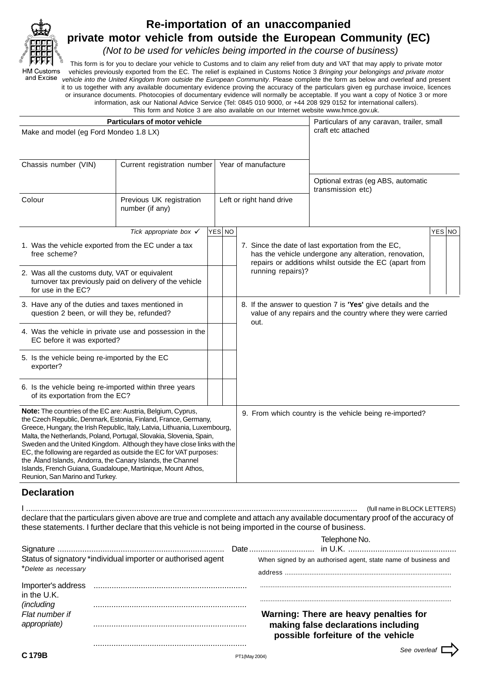

# **Re-importation of an unaccompanied private motor vehicle from outside the European Community (EC)**

(Not to be used for vehicles being imported in the course of business)

This form is for you to declare your vehicle to Customs and to claim any relief from duty and VAT that may apply to private motor **HM Customs** vehicles previously exported from the EC. The relief is explained in Customs Notice 3 Bringing your belongings and private motor and Excise vehicle into the United Kingdom from outside the European Community. Please complete the form as below and overleaf and present it to us together with any available documentary evidence proving the accuracy of the particulars given eg purchase invoice, licences or insurance documents. Photocopies of documentary evidence will normally be acceptable. If you want a copy of Notice 3 or more information, ask our National Advice Service (Tel: 0845 010 9000, or +44 208 929 0152 for international callers).

This form and Notice 3 are also available on our Internet website www.hmce.gov.uk.

|                                                                                                                                                                                                                                                                                                                                                                                                                                                                                                                                                                                                         | <b>Particulars of motor vehicle</b>         | Particulars of any caravan, trailer, small |        |                                                                                                                                      |                                                                                                                                                                       |  |  |
|---------------------------------------------------------------------------------------------------------------------------------------------------------------------------------------------------------------------------------------------------------------------------------------------------------------------------------------------------------------------------------------------------------------------------------------------------------------------------------------------------------------------------------------------------------------------------------------------------------|---------------------------------------------|--------------------------------------------|--------|--------------------------------------------------------------------------------------------------------------------------------------|-----------------------------------------------------------------------------------------------------------------------------------------------------------------------|--|--|
| Make and model (eg Ford Mondeo 1.8 LX)                                                                                                                                                                                                                                                                                                                                                                                                                                                                                                                                                                  |                                             | craft etc attached                         |        |                                                                                                                                      |                                                                                                                                                                       |  |  |
| Chassis number (VIN)<br>Current registration number                                                                                                                                                                                                                                                                                                                                                                                                                                                                                                                                                     |                                             |                                            |        | Year of manufacture                                                                                                                  |                                                                                                                                                                       |  |  |
|                                                                                                                                                                                                                                                                                                                                                                                                                                                                                                                                                                                                         |                                             |                                            |        |                                                                                                                                      | Optional extras (eg ABS, automatic<br>transmission etc)                                                                                                               |  |  |
| Colour                                                                                                                                                                                                                                                                                                                                                                                                                                                                                                                                                                                                  | Previous UK registration<br>number (if any) |                                            |        | Left or right hand drive                                                                                                             |                                                                                                                                                                       |  |  |
|                                                                                                                                                                                                                                                                                                                                                                                                                                                                                                                                                                                                         | Tick appropriate box $\checkmark$           |                                            | YES NO |                                                                                                                                      | YES NO                                                                                                                                                                |  |  |
| 1. Was the vehicle exported from the EC under a tax<br>free scheme?                                                                                                                                                                                                                                                                                                                                                                                                                                                                                                                                     |                                             |                                            |        |                                                                                                                                      | 7. Since the date of last exportation from the EC,<br>has the vehicle undergone any alteration, renovation,<br>repairs or additions whilst outside the EC (apart from |  |  |
| 2. Was all the customs duty, VAT or equivalent<br>turnover tax previously paid on delivery of the vehicle<br>for use in the EC?                                                                                                                                                                                                                                                                                                                                                                                                                                                                         |                                             |                                            |        | running repairs)?                                                                                                                    |                                                                                                                                                                       |  |  |
| 3. Have any of the duties and taxes mentioned in<br>question 2 been, or will they be, refunded?                                                                                                                                                                                                                                                                                                                                                                                                                                                                                                         |                                             |                                            |        | 8. If the answer to question 7 is 'Yes' give details and the<br>value of any repairs and the country where they were carried<br>out. |                                                                                                                                                                       |  |  |
| 4. Was the vehicle in private use and possession in the<br>EC before it was exported?                                                                                                                                                                                                                                                                                                                                                                                                                                                                                                                   |                                             |                                            |        |                                                                                                                                      |                                                                                                                                                                       |  |  |
| 5. Is the vehicle being re-imported by the EC<br>exporter?                                                                                                                                                                                                                                                                                                                                                                                                                                                                                                                                              |                                             |                                            |        |                                                                                                                                      |                                                                                                                                                                       |  |  |
| 6. Is the vehicle being re-imported within three years<br>of its exportation from the EC?                                                                                                                                                                                                                                                                                                                                                                                                                                                                                                               |                                             |                                            |        |                                                                                                                                      |                                                                                                                                                                       |  |  |
| Note: The countries of the EC are: Austria, Belgium, Cyprus,<br>the Czech Republic, Denmark, Estonia, Finland, France, Germany,<br>Greece, Hungary, the Irish Republic, Italy, Latvia, Lithuania, Luxembourg,<br>Malta, the Netherlands, Poland, Portugal, Slovakia, Slovenia, Spain,<br>Sweden and the United Kingdom. Although they have close links with the<br>EC, the following are regarded as outside the EC for VAT purposes:<br>the Åland Islands, Andorra, the Canary Islands, the Channel<br>Islands, French Guiana, Guadaloupe, Martinique, Mount Athos,<br>Reunion, San Marino and Turkey. |                                             |                                            |        | 9. From which country is the vehicle being re-imported?                                                                              |                                                                                                                                                                       |  |  |

# **Declaration**

I ................................................................................................................................................... (full name in BLOCK LETTERS) declare that the particulars given above are true and complete and attach any available documentary proof of the accuracy of these statements. I further declare that this vehicle is not being imported in the course of business.

|                                      |                                                              |               | Telephone No.<br>Date                                                                                               |
|--------------------------------------|--------------------------------------------------------------|---------------|---------------------------------------------------------------------------------------------------------------------|
| *Delete as necessary                 | Status of signatory *individual importer or authorised agent |               | When signed by an authorised agent, state name of business and<br>address                                           |
| Importer's address<br>in the U.K.    |                                                              |               |                                                                                                                     |
| <i>(including)</i><br>Flat number if |                                                              |               | Warning: There are heavy penalties for<br>making false declarations including<br>possible forfeiture of the vehicle |
|                                      |                                                              | PT1(May 2004) |                                                                                                                     |